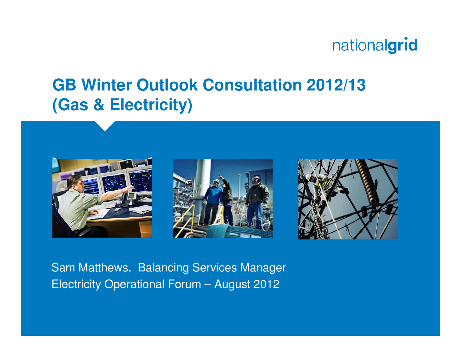#### **GB Winter Outlook Consultation 2012/13(Gas & Electricity)**







Sam Matthews, Balancing Services ManagerElectricity Operational Forum – August 2012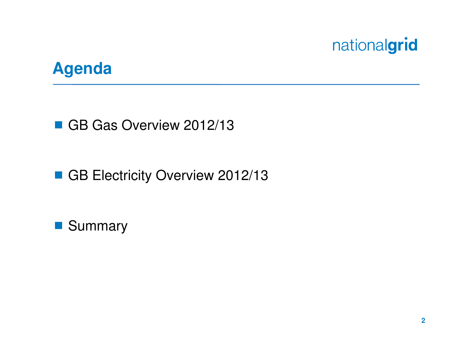

#### **Agenda**

GB Gas Overview 2012/13

GB Electricity Overview 2012/13

**Summary**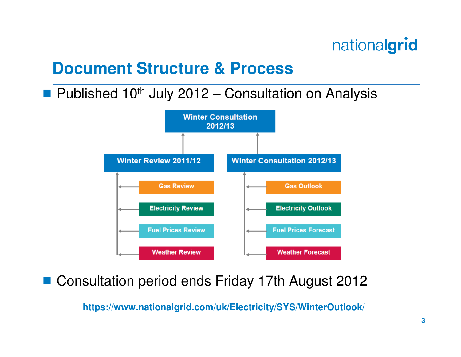#### **Document Structure & Process**

# **Published 10<sup>th</sup> July 2012 – Consultation on Analysis**



# ■ Consultation period ends Friday 17th August 2012

**https://www.nationalgrid.com/uk/Electricity/SYS/WinterOutlook/**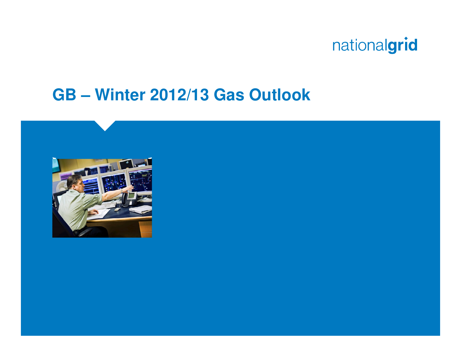

#### **GB – Winter 2012/13 Gas Outlook**

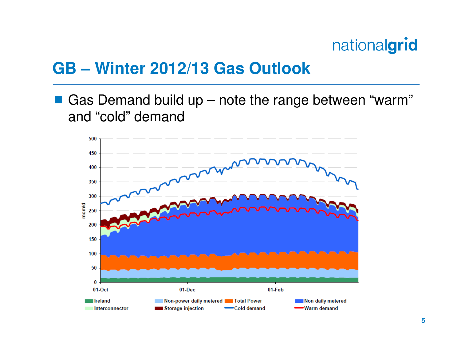#### **GB – Winter 2012/13 Gas Outlook**

 $\mathbb{R}^2$  Gas Demand build up – note the range between "warm" and "cold" demand

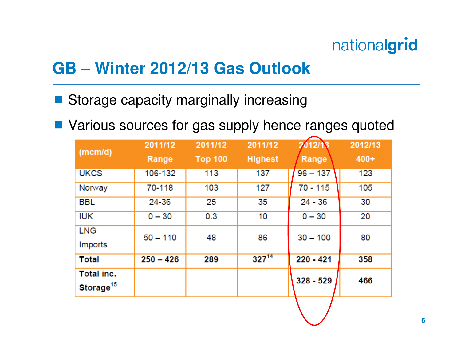### **GB – Winter 2012/13 Gas Outlook**

# Storage capacity marginally increasing

**Various sources for gas supply hence ranges quoted** 

| (mcm/d)                             | 2011/12<br>Range | 2011/12<br><b>Top 100</b> | 2011/12<br><b>Highest</b> | 2012/13<br>Range | 2012/13<br>$400+$ |
|-------------------------------------|------------------|---------------------------|---------------------------|------------------|-------------------|
| <b>UKCS</b>                         | 106-132          | 113                       | 137                       | $96 - 137$       | 123               |
| Norway                              | 70-118           | 103                       | 127                       | $70 - 115$       | 105               |
| <b>BBL</b>                          | 24-36            | 25                        | 35                        | $24 - 36$        | 30                |
| <b>IUK</b>                          | $0 - 30$         | 0.3                       | 10                        | $0 - 30$         | 20                |
| <b>LNG</b><br>Imports               | $50 - 110$       | 48                        | 86                        | $30 - 100$       | 80                |
| <b>Total</b>                        | $250 - 426$      | 289                       | $327^{14}$                | 220 - 421        | 358               |
| Total inc.<br>Storage <sup>15</sup> |                  |                           |                           | $328 - 529$      | 466               |
|                                     |                  |                           |                           |                  |                   |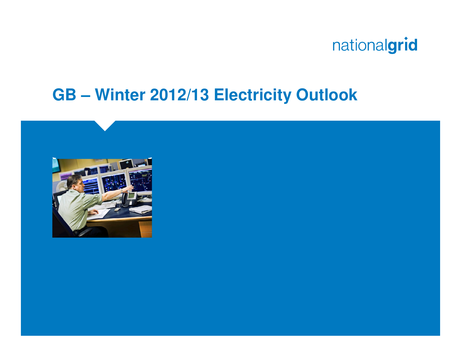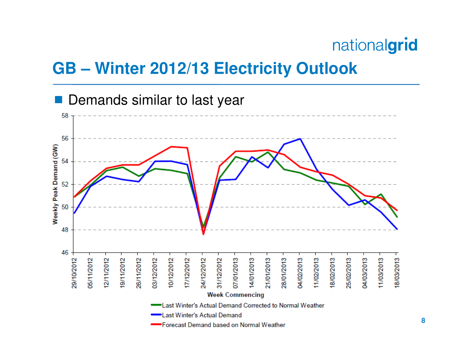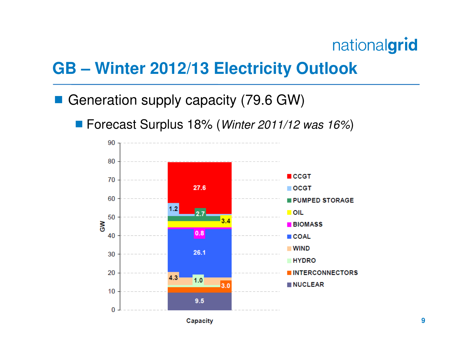- Generation supply capacity (79.6 GW)
	- Forecast Surplus 18% (*Winter 2011/12 was 16%*)

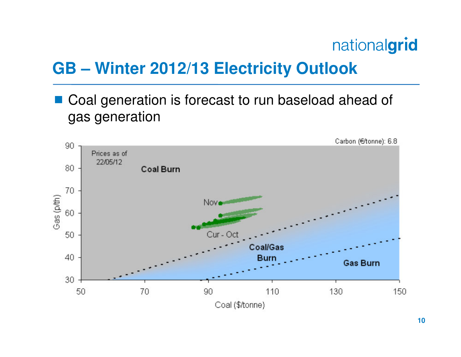## **GB – Winter 2012/13 Electricity Outlook**

Coal generation is forecast to run baseload ahead of gas generation

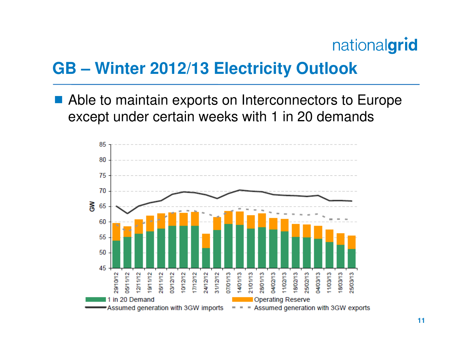#### **GB – Winter 2012/13 Electricity Outlook**

Able to maintain exports on Interconnectors to Europe except under certain weeks with 1 in 20 demands

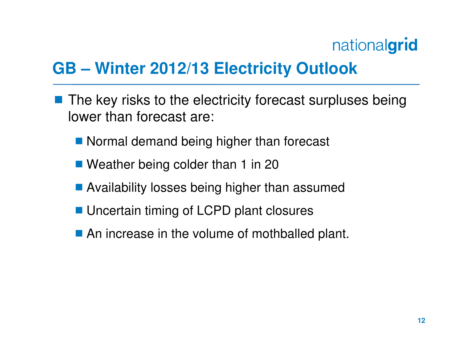- The key risks to the electricity forecast surpluses being lower than forecast are:
	- Normal demand being higher than forecast
	- Weather being colder than 1 in 20
	- Availability losses being higher than assumed
	- **Uncertain timing of LCPD plant closures**
	- An increase in the volume of mothballed plant.